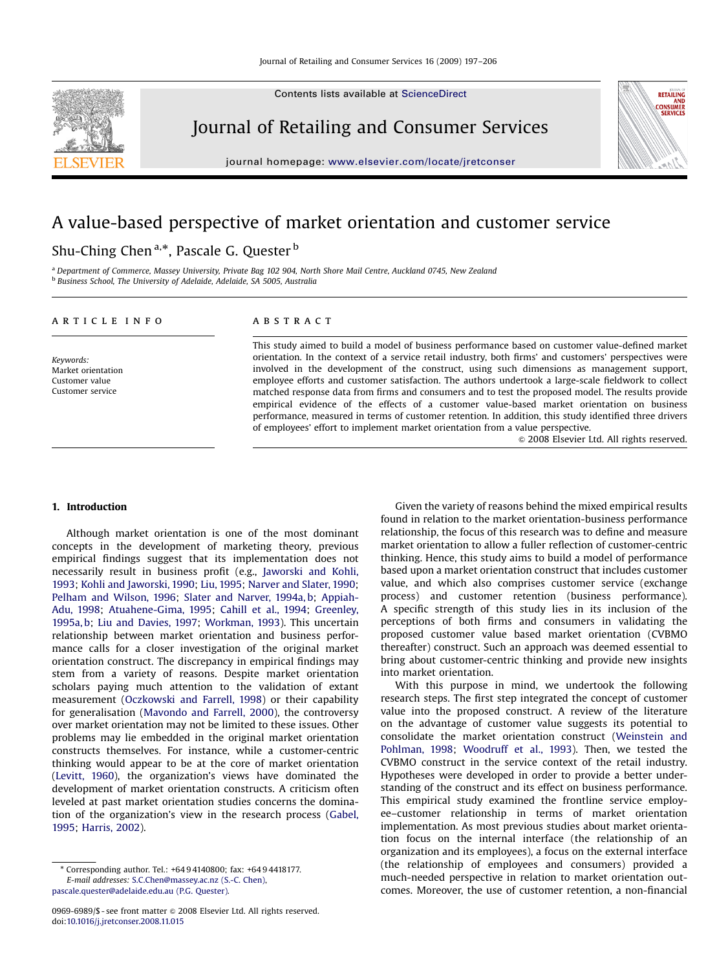Contents lists available at [ScienceDirect](www.sciencedirect.com/science/journal/jjrc)



Journal of Retailing and Consumer Services

journal homepage: <www.elsevier.com/locate/jretconser>

# A value-based perspective of market orientation and customer service

## Shu-Ching Chen<sup>a,\*</sup>, Pascale G. Quester <sup>b</sup>

<sup>a</sup> Department of Commerce, Massey University, Private Bag 102 904, North Shore Mail Centre, Auckland 0745, New Zealand <sup>b</sup> Business School, The University of Adelaide, Adelaide, SA 5005, Australia

#### article info

Keywords: Market orientation Customer value Customer service

### **ABSTRACT**

This study aimed to build a model of business performance based on customer value-defined market orientation. In the context of a service retail industry, both firms' and customers' perspectives were involved in the development of the construct, using such dimensions as management support, employee efforts and customer satisfaction. The authors undertook a large-scale fieldwork to collect matched response data from firms and consumers and to test the proposed model. The results provide empirical evidence of the effects of a customer value-based market orientation on business performance, measured in terms of customer retention. In addition, this study identified three drivers of employees' effort to implement market orientation from a value perspective.

 $\odot$  2008 Elsevier Ltd. All rights reserved.

RETAILING AND<br>CONSUMER<br>SERVICES

#### 1. Introduction

Although market orientation is one of the most dominant concepts in the development of marketing theory, previous empirical findings suggest that its implementation does not necessarily result in business profit (e.g., [Jaworski and Kohli,](#page--1-0) [1993](#page--1-0); [Kohli and Jaworski, 1990](#page--1-0); [Liu, 1995](#page--1-0); [Narver and Slater, 1990;](#page--1-0) [Pelham and Wilson, 1996;](#page--1-0) [Slater and Narver, 1994a, b](#page--1-0); [Appiah-](#page--1-0)[Adu, 1998;](#page--1-0) [Atuahene-Gima, 1995](#page--1-0); [Cahill et al., 1994;](#page--1-0) [Greenley,](#page--1-0) [1995a, b;](#page--1-0) [Liu and Davies, 1997](#page--1-0); [Workman, 1993](#page--1-0)). This uncertain relationship between market orientation and business performance calls for a closer investigation of the original market orientation construct. The discrepancy in empirical findings may stem from a variety of reasons. Despite market orientation scholars paying much attention to the validation of extant measurement [\(Oczkowski and Farrell, 1998](#page--1-0)) or their capability for generalisation ([Mavondo and Farrell, 2000\)](#page--1-0), the controversy over market orientation may not be limited to these issues. Other problems may lie embedded in the original market orientation constructs themselves. For instance, while a customer-centric thinking would appear to be at the core of market orientation ([Levitt, 1960](#page--1-0)), the organization's views have dominated the development of market orientation constructs. A criticism often leveled at past market orientation studies concerns the domination of the organization's view in the research process ([Gabel,](#page--1-0) [1995](#page--1-0); [Harris, 2002\)](#page--1-0).

Given the variety of reasons behind the mixed empirical results found in relation to the market orientation-business performance relationship, the focus of this research was to define and measure market orientation to allow a fuller reflection of customer-centric thinking. Hence, this study aims to build a model of performance based upon a market orientation construct that includes customer value, and which also comprises customer service (exchange process) and customer retention (business performance). A specific strength of this study lies in its inclusion of the perceptions of both firms and consumers in validating the proposed customer value based market orientation (CVBMO thereafter) construct. Such an approach was deemed essential to bring about customer-centric thinking and provide new insights into market orientation.

With this purpose in mind, we undertook the following research steps. The first step integrated the concept of customer value into the proposed construct. A review of the literature on the advantage of customer value suggests its potential to consolidate the market orientation construct [\(Weinstein and](#page--1-0) [Pohlman, 1998;](#page--1-0) [Woodruff et al., 1993](#page--1-0)). Then, we tested the CVBMO construct in the service context of the retail industry. Hypotheses were developed in order to provide a better understanding of the construct and its effect on business performance. This empirical study examined the frontline service employee–customer relationship in terms of market orientation implementation. As most previous studies about market orientation focus on the internal interface (the relationship of an organization and its employees), a focus on the external interface (the relationship of employees and consumers) provided a much-needed perspective in relation to market orientation outcomes. Moreover, the use of customer retention, a non-financial

<sup>-</sup> Corresponding author. Tel.: +64 9 4140800; fax: +64 9 4418177. E-mail addresses: [S.C.Chen@massey.ac.nz \(S.-C. Chen\),](mailto:S.C.Chen@massey.ac.nz) [pascale.quester@adelaide.edu.au \(P.G. Quester\)](mailto:pascale.quester@adelaide.edu.au).

<sup>0969-6989/\$ -</sup> see front matter  $\circ$  2008 Elsevier Ltd. All rights reserved. doi:[10.1016/j.jretconser.2008.11.015](dx.doi.org/10.1016/j.jretconser.2008.11.015)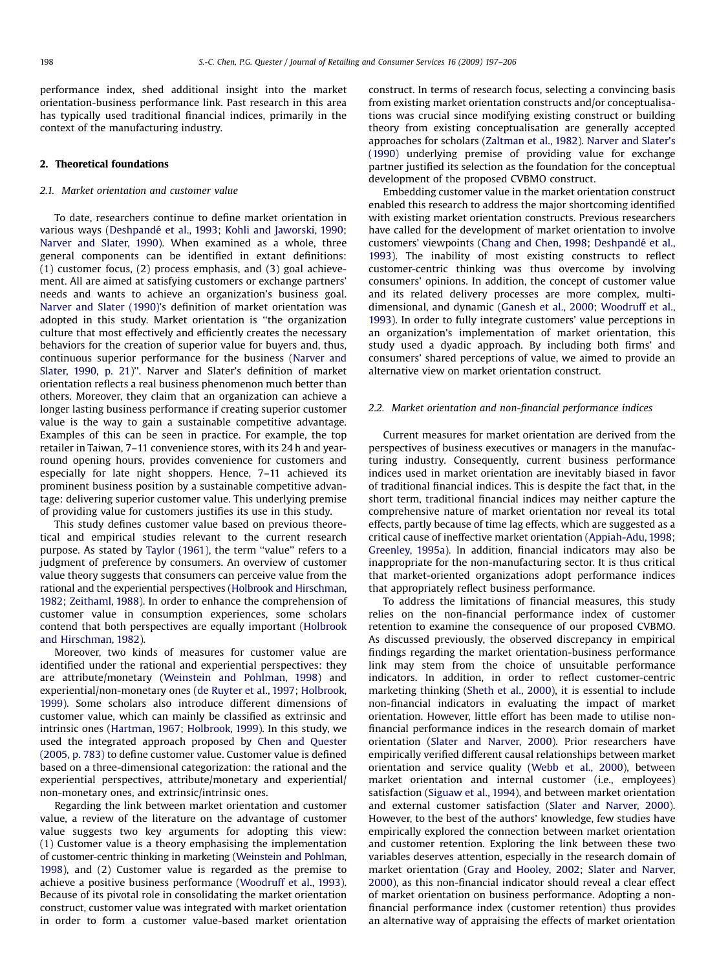performance index, shed additional insight into the market orientation-business performance link. Past research in this area has typically used traditional financial indices, primarily in the context of the manufacturing industry.

#### 2. Theoretical foundations

### 2.1. Market orientation and customer value

To date, researchers continue to define market orientation in various ways (Deshpandé [et al., 1993](#page--1-0); [Kohli and Jaworski, 1990;](#page--1-0) [Narver and Slater, 1990\)](#page--1-0). When examined as a whole, three general components can be identified in extant definitions: (1) customer focus, (2) process emphasis, and (3) goal achievement. All are aimed at satisfying customers or exchange partners' needs and wants to achieve an organization's business goal. [Narver and Slater \(1990\)'](#page--1-0)s definition of market orientation was adopted in this study. Market orientation is ''the organization culture that most effectively and efficiently creates the necessary behaviors for the creation of superior value for buyers and, thus, continuous superior performance for the business ([Narver and](#page--1-0) [Slater, 1990, p. 21\)](#page--1-0)''. Narver and Slater's definition of market orientation reflects a real business phenomenon much better than others. Moreover, they claim that an organization can achieve a longer lasting business performance if creating superior customer value is the way to gain a sustainable competitive advantage. Examples of this can be seen in practice. For example, the top retailer in Taiwan, 7–11 convenience stores, with its 24 h and yearround opening hours, provides convenience for customers and especially for late night shoppers. Hence, 7–11 achieved its prominent business position by a sustainable competitive advantage: delivering superior customer value. This underlying premise of providing value for customers justifies its use in this study.

This study defines customer value based on previous theoretical and empirical studies relevant to the current research purpose. As stated by [Taylor \(1961\),](#page--1-0) the term ''value'' refers to a judgment of preference by consumers. An overview of customer value theory suggests that consumers can perceive value from the rational and the experiential perspectives [\(Holbrook and Hirschman,](#page--1-0) [1982](#page--1-0); [Zeithaml, 1988\)](#page--1-0). In order to enhance the comprehension of customer value in consumption experiences, some scholars contend that both perspectives are equally important [\(Holbrook](#page--1-0) [and Hirschman, 1982](#page--1-0)).

Moreover, two kinds of measures for customer value are identified under the rational and experiential perspectives: they are attribute/monetary [\(Weinstein and Pohlman, 1998](#page--1-0)) and experiential/non-monetary ones ([de Ruyter et al., 1997](#page--1-0); [Holbrook,](#page--1-0) [1999](#page--1-0)). Some scholars also introduce different dimensions of customer value, which can mainly be classified as extrinsic and intrinsic ones ([Hartman, 1967;](#page--1-0) [Holbrook, 1999\)](#page--1-0). In this study, we used the integrated approach proposed by [Chen and Quester](#page--1-0) [\(2005, p. 783\)](#page--1-0) to define customer value. Customer value is defined based on a three-dimensional categorization: the rational and the experiential perspectives, attribute/monetary and experiential/ non-monetary ones, and extrinsic/intrinsic ones.

Regarding the link between market orientation and customer value, a review of the literature on the advantage of customer value suggests two key arguments for adopting this view: (1) Customer value is a theory emphasising the implementation of customer-centric thinking in marketing [\(Weinstein and Pohlman,](#page--1-0) [1998](#page--1-0)), and (2) Customer value is regarded as the premise to achieve a positive business performance [\(Woodruff et al., 1993\)](#page--1-0). Because of its pivotal role in consolidating the market orientation construct, customer value was integrated with market orientation in order to form a customer value-based market orientation construct. In terms of research focus, selecting a convincing basis from existing market orientation constructs and/or conceptualisations was crucial since modifying existing construct or building theory from existing conceptualisation are generally accepted approaches for scholars ([Zaltman et al., 1982\)](#page--1-0). [Narver and Slater's](#page--1-0) [\(1990\)](#page--1-0) underlying premise of providing value for exchange partner justified its selection as the foundation for the conceptual development of the proposed CVBMO construct.

Embedding customer value in the market orientation construct enabled this research to address the major shortcoming identified with existing market orientation constructs. Previous researchers have called for the development of market orientation to involve customers' viewpoints [\(Chang and Chen, 1998](#page--1-0); Deshpandé et al., [1993](#page--1-0)). The inability of most existing constructs to reflect customer-centric thinking was thus overcome by involving consumers' opinions. In addition, the concept of customer value and its related delivery processes are more complex, multidimensional, and dynamic [\(Ganesh et al., 2000;](#page--1-0) [Woodruff et al.,](#page--1-0) [1993](#page--1-0)). In order to fully integrate customers' value perceptions in an organization's implementation of market orientation, this study used a dyadic approach. By including both firms' and consumers' shared perceptions of value, we aimed to provide an alternative view on market orientation construct.

#### 2.2. Market orientation and non-financial performance indices

Current measures for market orientation are derived from the perspectives of business executives or managers in the manufacturing industry. Consequently, current business performance indices used in market orientation are inevitably biased in favor of traditional financial indices. This is despite the fact that, in the short term, traditional financial indices may neither capture the comprehensive nature of market orientation nor reveal its total effects, partly because of time lag effects, which are suggested as a critical cause of ineffective market orientation ([Appiah-Adu, 1998;](#page--1-0) [Greenley, 1995a](#page--1-0)). In addition, financial indicators may also be inappropriate for the non-manufacturing sector. It is thus critical that market-oriented organizations adopt performance indices that appropriately reflect business performance.

To address the limitations of financial measures, this study relies on the non-financial performance index of customer retention to examine the consequence of our proposed CVBMO. As discussed previously, the observed discrepancy in empirical findings regarding the market orientation-business performance link may stem from the choice of unsuitable performance indicators. In addition, in order to reflect customer-centric marketing thinking [\(Sheth et al., 2000](#page--1-0)), it is essential to include non-financial indicators in evaluating the impact of market orientation. However, little effort has been made to utilise nonfinancial performance indices in the research domain of market orientation ([Slater and Narver, 2000\)](#page--1-0). Prior researchers have empirically verified different causal relationships between market orientation and service quality ([Webb et al., 2000\)](#page--1-0), between market orientation and internal customer (i.e., employees) satisfaction ([Siguaw et al., 1994\)](#page--1-0), and between market orientation and external customer satisfaction ([Slater and Narver, 2000\)](#page--1-0). However, to the best of the authors' knowledge, few studies have empirically explored the connection between market orientation and customer retention. Exploring the link between these two variables deserves attention, especially in the research domain of market orientation ([Gray and Hooley, 2002](#page--1-0); [Slater and Narver,](#page--1-0) [2000](#page--1-0)), as this non-financial indicator should reveal a clear effect of market orientation on business performance. Adopting a nonfinancial performance index (customer retention) thus provides an alternative way of appraising the effects of market orientation